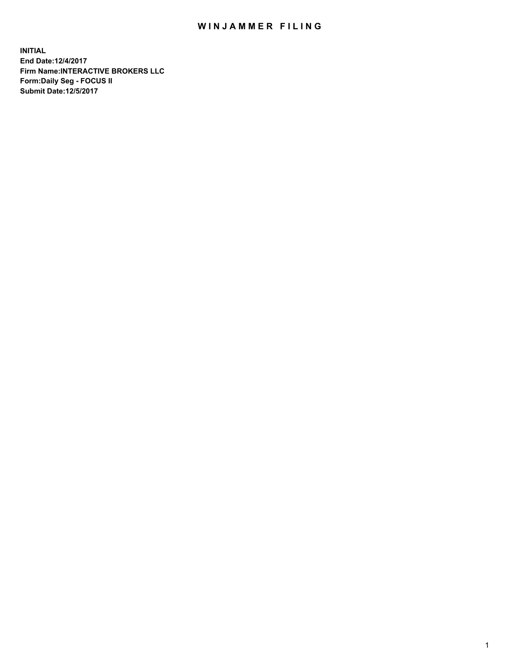## WIN JAMMER FILING

**INITIAL End Date:12/4/2017 Firm Name:INTERACTIVE BROKERS LLC Form:Daily Seg - FOCUS II Submit Date:12/5/2017**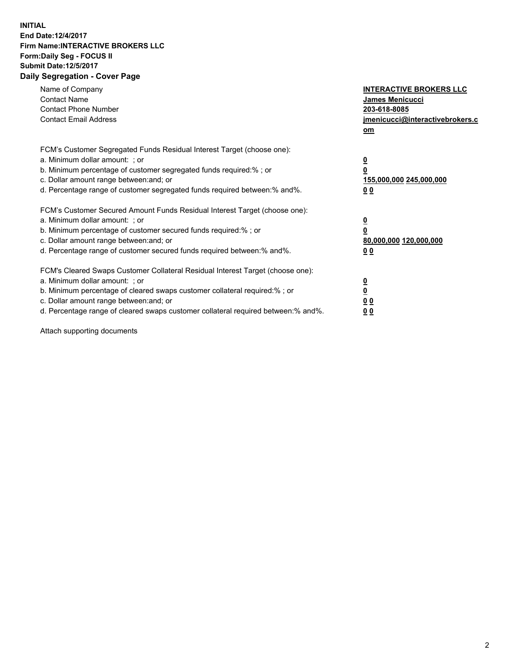## **INITIAL End Date:12/4/2017 Firm Name:INTERACTIVE BROKERS LLC Form:Daily Seg - FOCUS II Submit Date:12/5/2017 Daily Segregation - Cover Page**

| Name of Company<br><b>Contact Name</b><br><b>Contact Phone Number</b><br><b>Contact Email Address</b>                                                                                                                                                                                                                          | <b>INTERACTIVE BROKERS LLC</b><br><b>James Menicucci</b><br>203-618-8085<br>jmenicucci@interactivebrokers.c<br>om |
|--------------------------------------------------------------------------------------------------------------------------------------------------------------------------------------------------------------------------------------------------------------------------------------------------------------------------------|-------------------------------------------------------------------------------------------------------------------|
| FCM's Customer Segregated Funds Residual Interest Target (choose one):<br>a. Minimum dollar amount: ; or<br>b. Minimum percentage of customer segregated funds required:%; or<br>c. Dollar amount range between: and; or<br>d. Percentage range of customer segregated funds required between:% and%.                          | $\overline{\mathbf{0}}$<br>0<br>155,000,000 245,000,000<br>0 <sub>0</sub>                                         |
| FCM's Customer Secured Amount Funds Residual Interest Target (choose one):<br>a. Minimum dollar amount: ; or<br>b. Minimum percentage of customer secured funds required:%; or<br>c. Dollar amount range between: and; or<br>d. Percentage range of customer secured funds required between: % and %.                          | $\overline{\mathbf{0}}$<br>0<br>80,000,000 120,000,000<br>0 <sub>0</sub>                                          |
| FCM's Cleared Swaps Customer Collateral Residual Interest Target (choose one):<br>a. Minimum dollar amount: ; or<br>b. Minimum percentage of cleared swaps customer collateral required:% ; or<br>c. Dollar amount range between: and; or<br>d. Percentage range of cleared swaps customer collateral required between:% and%. | $\overline{\mathbf{0}}$<br>$\overline{\mathbf{0}}$<br>0 <sub>0</sub><br><u>00</u>                                 |

Attach supporting documents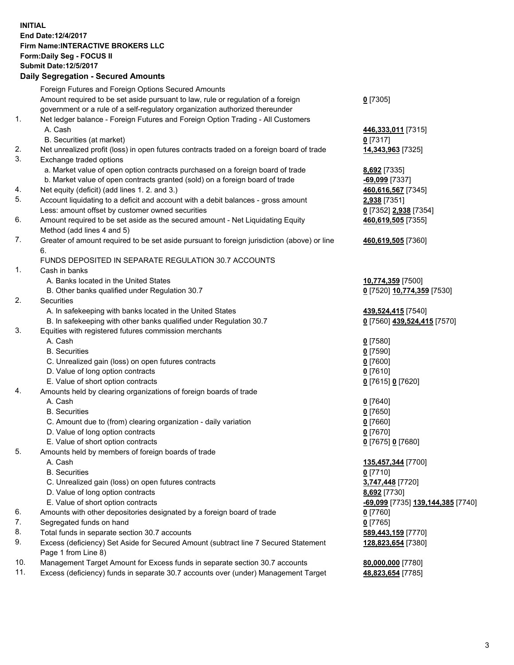## **INITIAL End Date:12/4/2017 Firm Name:INTERACTIVE BROKERS LLC Form:Daily Seg - FOCUS II Submit Date:12/5/2017 Daily Segregation - Secured Amounts**

|     | Daily Ocglegation - Occured Aniounts                                                        |                                   |
|-----|---------------------------------------------------------------------------------------------|-----------------------------------|
|     | Foreign Futures and Foreign Options Secured Amounts                                         |                                   |
|     | Amount required to be set aside pursuant to law, rule or regulation of a foreign            | $0$ [7305]                        |
|     | government or a rule of a self-regulatory organization authorized thereunder                |                                   |
| 1.  | Net ledger balance - Foreign Futures and Foreign Option Trading - All Customers             |                                   |
|     | A. Cash                                                                                     | 446,333,011 [7315]                |
|     | B. Securities (at market)                                                                   | $0$ [7317]                        |
| 2.  | Net unrealized profit (loss) in open futures contracts traded on a foreign board of trade   | 14,343,963 [7325]                 |
| 3.  | Exchange traded options                                                                     |                                   |
|     | a. Market value of open option contracts purchased on a foreign board of trade              | <b>8,692</b> [7335]               |
|     | b. Market value of open contracts granted (sold) on a foreign board of trade                | -69,099 [7337]                    |
| 4.  | Net equity (deficit) (add lines 1.2. and 3.)                                                | 460,616,567 [7345]                |
| 5.  | Account liquidating to a deficit and account with a debit balances - gross amount           | 2,938 [7351]                      |
|     | Less: amount offset by customer owned securities                                            | 0 [7352] 2,938 [7354]             |
| 6.  | Amount required to be set aside as the secured amount - Net Liquidating Equity              | 460,619,505 [7355]                |
|     | Method (add lines 4 and 5)                                                                  |                                   |
| 7.  | Greater of amount required to be set aside pursuant to foreign jurisdiction (above) or line | 460,619,505 [7360]                |
|     | 6.                                                                                          |                                   |
|     | FUNDS DEPOSITED IN SEPARATE REGULATION 30.7 ACCOUNTS                                        |                                   |
| 1.  | Cash in banks                                                                               |                                   |
|     | A. Banks located in the United States                                                       | 10,774,359 [7500]                 |
|     | B. Other banks qualified under Regulation 30.7                                              | 0 [7520] 10,774,359 [7530]        |
| 2.  | <b>Securities</b>                                                                           |                                   |
|     | A. In safekeeping with banks located in the United States                                   | 439,524,415 [7540]                |
|     | B. In safekeeping with other banks qualified under Regulation 30.7                          | 0 [7560] 439,524,415 [7570]       |
| 3.  | Equities with registered futures commission merchants                                       |                                   |
|     | A. Cash                                                                                     | $0$ [7580]                        |
|     | <b>B.</b> Securities                                                                        | $0$ [7590]                        |
|     | C. Unrealized gain (loss) on open futures contracts                                         | $0$ [7600]                        |
|     | D. Value of long option contracts                                                           | $0$ [7610]                        |
|     | E. Value of short option contracts                                                          | 0 [7615] 0 [7620]                 |
| 4.  | Amounts held by clearing organizations of foreign boards of trade                           |                                   |
|     | A. Cash                                                                                     | $0$ [7640]                        |
|     | <b>B.</b> Securities                                                                        | $0$ [7650]                        |
|     | C. Amount due to (from) clearing organization - daily variation                             | $0$ [7660]                        |
|     | D. Value of long option contracts                                                           | $0$ [7670]                        |
|     | E. Value of short option contracts                                                          | 0 [7675] 0 [7680]                 |
| 5.  | Amounts held by members of foreign boards of trade                                          |                                   |
|     | A. Cash                                                                                     | 135,457,344 [7700]                |
|     | <b>B.</b> Securities                                                                        | $0$ [7710]                        |
|     | C. Unrealized gain (loss) on open futures contracts                                         | 3,747,448 [7720]                  |
|     | D. Value of long option contracts                                                           | 8,692 [7730]                      |
|     | E. Value of short option contracts                                                          | -69,099 [7735] 139,144,385 [7740] |
| 6.  | Amounts with other depositories designated by a foreign board of trade                      | 0 [7760]                          |
| 7.  | Segregated funds on hand                                                                    | $0$ [7765]                        |
| 8.  | Total funds in separate section 30.7 accounts                                               | 589,443,159 [7770]                |
| 9.  | Excess (deficiency) Set Aside for Secured Amount (subtract line 7 Secured Statement         | 128,823,654 [7380]                |
|     | Page 1 from Line 8)                                                                         |                                   |
| 10. | Management Target Amount for Excess funds in separate section 30.7 accounts                 | 80,000,000 [7780]                 |
| 11. | Excess (deficiency) funds in separate 30.7 accounts over (under) Management Target          | 48,823,654 [7785]                 |
|     |                                                                                             |                                   |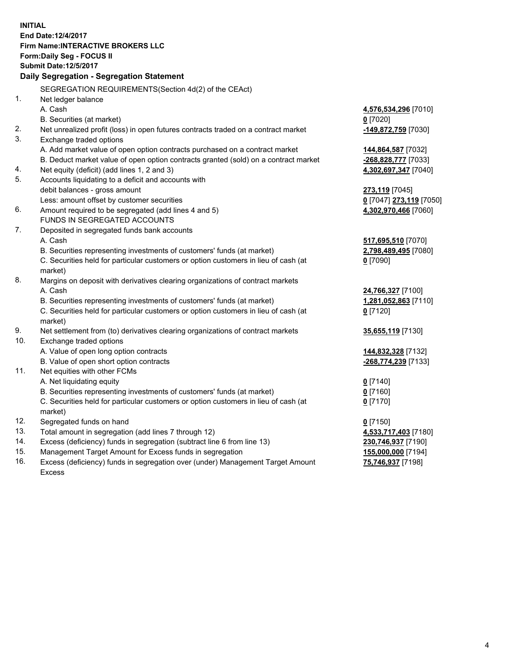**INITIAL End Date:12/4/2017 Firm Name:INTERACTIVE BROKERS LLC Form:Daily Seg - FOCUS II Submit Date:12/5/2017 Daily Segregation - Segregation Statement** SEGREGATION REQUIREMENTS(Section 4d(2) of the CEAct) 1. Net ledger balance A. Cash **4,576,534,296** [7010] B. Securities (at market) **0** [7020] 2. Net unrealized profit (loss) in open futures contracts traded on a contract market **-149,872,759** [7030] 3. Exchange traded options A. Add market value of open option contracts purchased on a contract market **144,864,587** [7032] B. Deduct market value of open option contracts granted (sold) on a contract market **-268,828,777** [7033] 4. Net equity (deficit) (add lines 1, 2 and 3) **4,302,697,347** [7040] 5. Accounts liquidating to a deficit and accounts with debit balances - gross amount **273,119** [7045] Less: amount offset by customer securities **0** [7047] **273,119** [7050] 6. Amount required to be segregated (add lines 4 and 5) **4,302,970,466** [7060] FUNDS IN SEGREGATED ACCOUNTS 7. Deposited in segregated funds bank accounts A. Cash **517,695,510** [7070] B. Securities representing investments of customers' funds (at market) **2,798,489,495** [7080] C. Securities held for particular customers or option customers in lieu of cash (at market) **0** [7090] 8. Margins on deposit with derivatives clearing organizations of contract markets A. Cash **24,766,327** [7100] B. Securities representing investments of customers' funds (at market) **1,281,052,863** [7110] C. Securities held for particular customers or option customers in lieu of cash (at market) **0** [7120] 9. Net settlement from (to) derivatives clearing organizations of contract markets **35,655,119** [7130] 10. Exchange traded options A. Value of open long option contracts **144,832,328** [7132] B. Value of open short option contracts **-268,774,239** [7133] 11. Net equities with other FCMs A. Net liquidating equity **0** [7140] B. Securities representing investments of customers' funds (at market) **0** [7160] C. Securities held for particular customers or option customers in lieu of cash (at market) **0** [7170] 12. Segregated funds on hand **0** [7150] 13. Total amount in segregation (add lines 7 through 12) **4,533,717,403** [7180] 14. Excess (deficiency) funds in segregation (subtract line 6 from line 13) **230,746,937** [7190] 15. Management Target Amount for Excess funds in segregation **155,000,000** [7194]

16. Excess (deficiency) funds in segregation over (under) Management Target Amount Excess

**75,746,937** [7198]